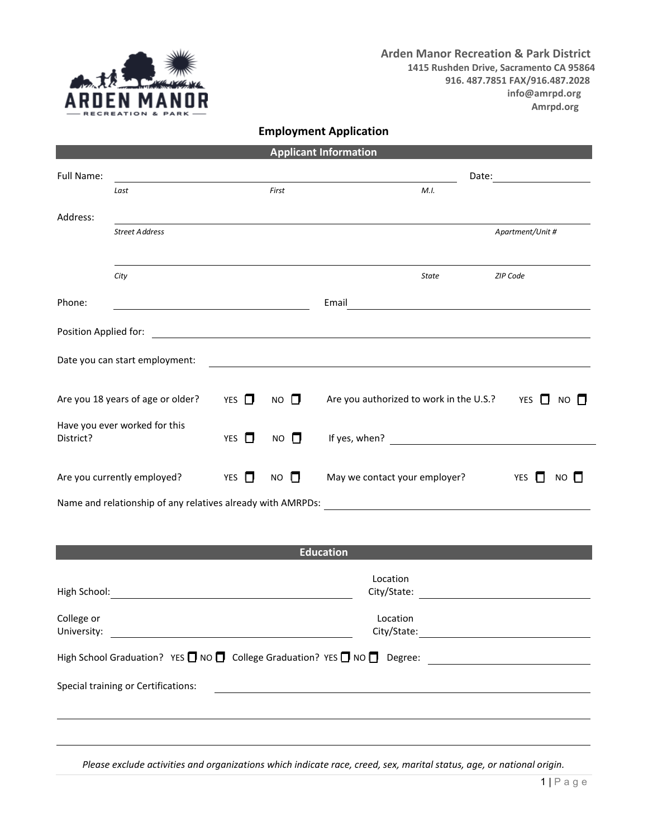

**Arden Manor Recreation & Park District 1415 Rushden Drive, Sacramento CA 95864 916. 487.7851 FAX/916.487.2028 info@amrpd.org Amrpd.org**

## **Employment Application**

|                                                                                                                                                         |                                                 |                     |                                         | <b>Applicant Information</b> |                                      |                                                                     |
|---------------------------------------------------------------------------------------------------------------------------------------------------------|-------------------------------------------------|---------------------|-----------------------------------------|------------------------------|--------------------------------------|---------------------------------------------------------------------|
| Full Name:                                                                                                                                              |                                                 |                     |                                         |                              | Date:                                |                                                                     |
|                                                                                                                                                         | Last                                            |                     | First                                   | M.I.                         |                                      |                                                                     |
| Address:                                                                                                                                                |                                                 |                     |                                         |                              |                                      |                                                                     |
|                                                                                                                                                         | <b>Street Address</b>                           |                     |                                         |                              |                                      | Apartment/Unit #                                                    |
|                                                                                                                                                         |                                                 |                     |                                         |                              |                                      |                                                                     |
|                                                                                                                                                         | City                                            |                     |                                         | <b>State</b>                 |                                      | ZIP Code                                                            |
| Phone:                                                                                                                                                  | <u> 1989 - Johann Barnett, fransk politik (</u> |                     |                                         | Email                        |                                      | <u> 1980 - Andrea Station Barbara, amerikan personal (h. 1980).</u> |
| Position Applied for:                                                                                                                                   |                                                 |                     |                                         |                              |                                      |                                                                     |
| Date you can start employment:<br><u> 1989 - Johann Stoff, deutscher Stoff, der Stoff, der Stoff, der Stoff, der Stoff, der Stoff, der Stoff, der S</u> |                                                 |                     |                                         |                              |                                      |                                                                     |
| Are you 18 years of age or older?<br>$\Box$<br><b>YES</b>                                                                                               |                                                 | $\Box$<br><b>NO</b> | Are you authorized to work in the U.S.? |                              | $\Box$<br>YES<br><b>NO</b><br>$\Box$ |                                                                     |
| Have you ever worked for this<br>0<br>District?<br>YES                                                                                                  |                                                 | <b>NO</b><br>П,     |                                         |                              |                                      |                                                                     |
| Are you currently employed?<br>YES $\Box$                                                                                                               |                                                 | <b>NO</b><br>$\Box$ | May we contact your employer?           |                              | <b>YES</b><br>n<br>$NO$ $\Pi$        |                                                                     |
|                                                                                                                                                         |                                                 |                     |                                         |                              |                                      |                                                                     |

Name and relationship of any relatives already with AMRPDs:

|                                                                                               | <b>Education</b>        |  |
|-----------------------------------------------------------------------------------------------|-------------------------|--|
| High School:                                                                                  | Location<br>City/State: |  |
| College or<br>University:                                                                     | Location<br>City/State: |  |
| High School Graduation? YES $\Box$ NO $\Box$ College Graduation? YES $\Box$ NO $\Box$ Degree: |                         |  |
| Special training or Certifications:                                                           |                         |  |
|                                                                                               |                         |  |
|                                                                                               |                         |  |

*Please exclude activities and organizations which indicate race, creed, sex, marital status, age, or national origin.*